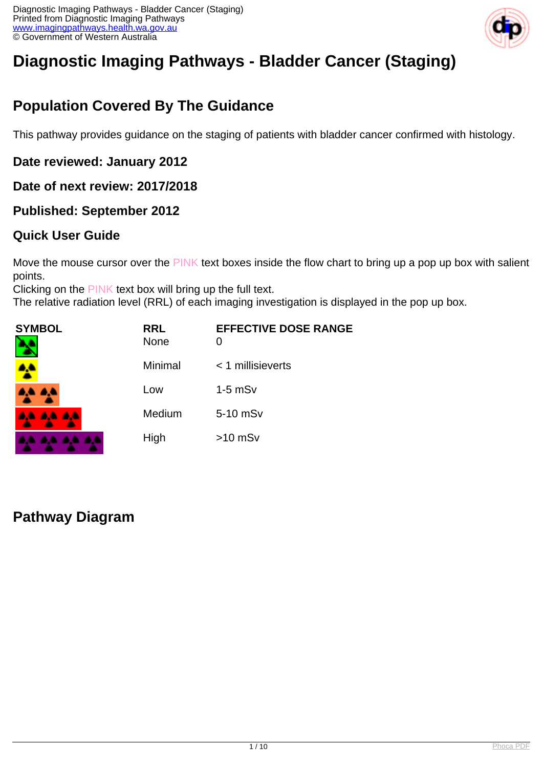

# **Diagnostic Imaging Pathways - Bladder Cancer (Staging)**

## **Population Covered By The Guidance**

This pathway provides guidance on the staging of patients with bladder cancer confirmed with histology.

**Date reviewed: January 2012**

**Date of next review: 2017/2018**

**Published: September 2012**

#### **Quick User Guide**

Move the mouse cursor over the PINK text boxes inside the flow chart to bring up a pop up box with salient points.

Clicking on the PINK text box will bring up the full text.

The relative radiation level (RRL) of each imaging investigation is displayed in the pop up box.

| SYMBOL       | <b>RRL</b><br><b>None</b> | <b>EFFECTIVE DOSE RANGE</b><br>0 |
|--------------|---------------------------|----------------------------------|
|              | Minimal                   | $<$ 1 millisieverts              |
| <b>AA AA</b> | Low                       | $1-5$ mS $v$                     |
| AA AA AA     | Medium                    | 5-10 mSv                         |
|              | High                      | $>10$ mSv                        |

### **Pathway Diagram**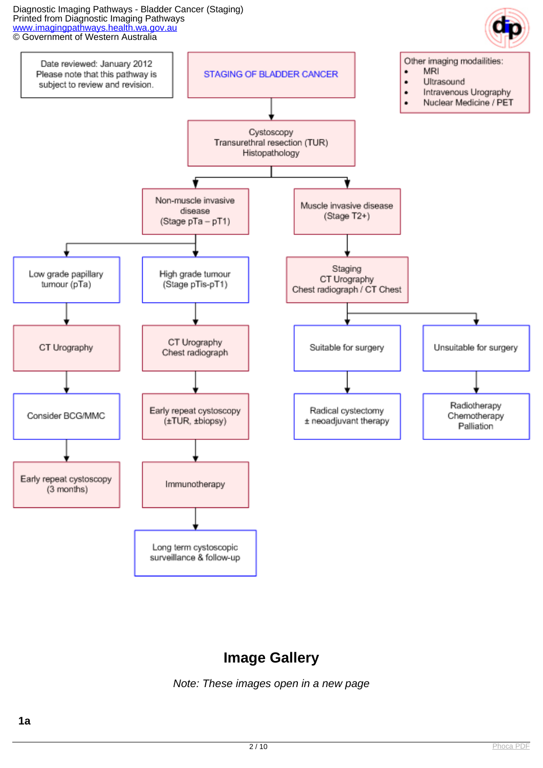#### Diagnostic Imaging Pathways - Bladder Cancer (Staging) Printed from Diagnostic Imaging Pathways [www.imagingpathways.health.wa.gov.au](http://www.imagingpathways.health.wa.gov.au/) **CO** Government of Western Australia



## **Image Gallery**

Note: These images open in a new page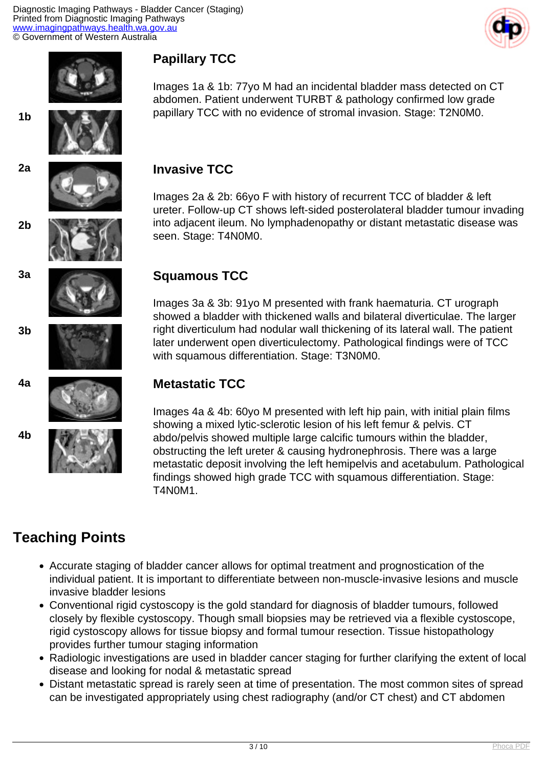Diagnostic Imaging Pathways - Bladder Cancer (Staging) Printed from Diagnostic Imaging Pathways [www.imagingpathways.health.wa.gov.au](http://www.imagingpathways.health.wa.gov.au/) © Government of Western Australia















**4b**







## **Papillary TCC**

Images 1a & 1b: 77yo M had an incidental bladder mass detected on CT abdomen. Patient underwent TURBT & pathology confirmed low grade papillary TCC with no evidence of stromal invasion. Stage: T2N0M0. **1b**

## **2a Invasive TCC**

Images 2a & 2b: 66yo F with history of recurrent TCC of bladder & left ureter. Follow-up CT shows left-sided posterolateral bladder tumour invading into adjacent ileum. No lymphadenopathy or distant metastatic disease was seen. Stage: T4N0M0.

## **3a Squamous TCC**

Images 3a & 3b: 91yo M presented with frank haematuria. CT urograph showed a bladder with thickened walls and bilateral diverticulae. The larger right diverticulum had nodular wall thickening of its lateral wall. The patient later underwent open diverticulectomy. Pathological findings were of TCC with squamous differentiation. Stage: T3N0M0.

## **4a Metastatic TCC**

Images 4a & 4b: 60yo M presented with left hip pain, with initial plain films showing a mixed lytic-sclerotic lesion of his left femur & pelvis. CT abdo/pelvis showed multiple large calcific tumours within the bladder, obstructing the left ureter & causing hydronephrosis. There was a large metastatic deposit involving the left hemipelvis and acetabulum. Pathological findings showed high grade TCC with squamous differentiation. Stage: T4N0M1.

## **Teaching Points**

- Accurate staging of bladder cancer allows for optimal treatment and prognostication of the individual patient. It is important to differentiate between non-muscle-invasive lesions and muscle invasive bladder lesions
- Conventional rigid cystoscopy is the gold standard for diagnosis of bladder tumours, followed closely by flexible cystoscopy. Though small biopsies may be retrieved via a flexible cystoscope, rigid cystoscopy allows for tissue biopsy and formal tumour resection. Tissue histopathology provides further tumour staging information
- Radiologic investigations are used in bladder cancer staging for further clarifying the extent of local disease and looking for nodal & metastatic spread
- Distant metastatic spread is rarely seen at time of presentation. The most common sites of spread can be investigated appropriately using chest radiography (and/or CT chest) and CT abdomen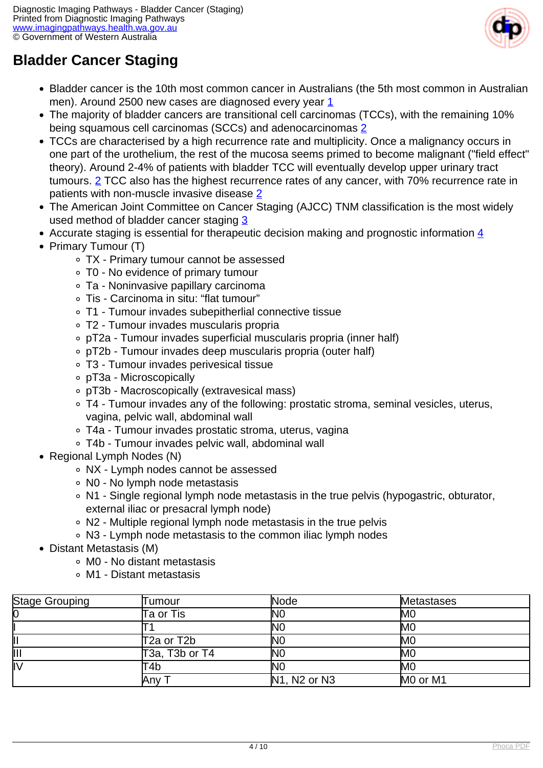

## **Bladder Cancer Staging**

- Bladder cancer is the 10th most common cancer in Australians (the 5th most common in Australian men). Around 2500 new cases are diagnosed every year [1](index.php?option=com_content&view=article&id=155&tab=references#1)
- The majority of bladder cancers are transitional cell carcinomas (TCCs), with the remaining 10% being squamous cell carcinomas (SCCs) and adenocarcinomas [2](index.php?option=com_content&view=article&id=155&tab=references#2)
- TCCs are characterised by a high recurrence rate and multiplicity. Once a malignancy occurs in one part of the urothelium, the rest of the mucosa seems primed to become malignant ("field effect" theory). Around 2-4% of patients with bladder TCC will eventually develop upper urinary tract tumours. [2](index.php?option=com_content&view=article&id=155&tab=references#2) TCC also has the highest recurrence rates of any cancer, with 70% recurrence rate in patients with non-muscle invasive disease [2](index.php?option=com_content&view=article&id=155&tab=references#)
- The American Joint Committee on Cancer Staging (AJCC) TNM classification is the most widely used method of bladder cancer staging [3](index.php?option=com_content&view=article&id=155&tab=references#3)
- Accurate staging is essential for therapeutic decision making and prognostic information  $\frac{4}{5}$  $\frac{4}{5}$  $\frac{4}{5}$
- Primary Tumour (T)
	- TX Primary tumour cannot be assessed
	- T0 No evidence of primary tumour
	- Ta Noninvasive papillary carcinoma
	- Tis Carcinoma in situ: "flat tumour"
	- T1 Tumour invades subepitherlial connective tissue
	- T2 Tumour invades muscularis propria
	- pT2a Tumour invades superficial muscularis propria (inner half)
	- pT2b Tumour invades deep muscularis propria (outer half)
	- T3 Tumour invades perivesical tissue
	- pT3a Microscopically
	- pT3b Macroscopically (extravesical mass)
	- T4 Tumour invades any of the following: prostatic stroma, seminal vesicles, uterus, vagina, pelvic wall, abdominal wall
	- T4a Tumour invades prostatic stroma, uterus, vagina
	- T4b Tumour invades pelvic wall, abdominal wall
- Regional Lymph Nodes (N)
	- NX Lymph nodes cannot be assessed
	- N0 No lymph node metastasis
	- N1 Single regional lymph node metastasis in the true pelvis (hypogastric, obturator, external iliac or presacral lymph node)
	- N2 Multiple regional lymph node metastasis in the true pelvis
	- N3 Lymph node metastasis to the common iliac lymph nodes
- Distant Metastasis (M)
	- M0 No distant metastasis
	- M1 Distant metastasis

| <b>Stage Grouping</b> | Tumour         | Node         | Metastases                       |
|-----------------------|----------------|--------------|----------------------------------|
|                       | Ta or Tis      | N0           | M0                               |
|                       |                | N0           | M0                               |
|                       | T2a or T2b     | N0           | M0                               |
| Ш                     | T3a, T3b or T4 | N0           | M0                               |
| I٧                    | T4b            | N0           | MО                               |
|                       | Any i          | N1, N2 or N3 | M <sub>0</sub> or M <sub>1</sub> |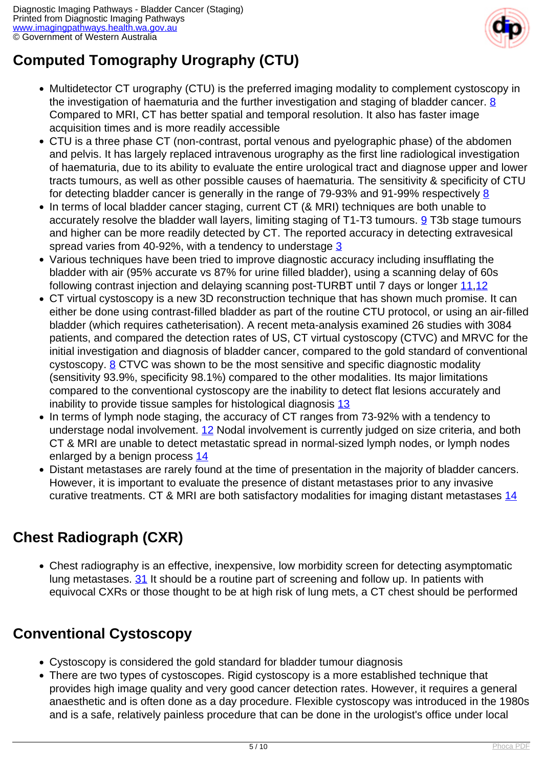

## **Computed Tomography Urography (CTU)**

- Multidetector CT urography (CTU) is the preferred imaging modality to complement cystoscopy in the investigation of haematuria and the further investigation and staging of bladder cancer.  $8$ Compared to MRI, CT has better spatial and temporal resolution. It also has faster image acquisition times and is more readily accessible
- CTU is a three phase CT (non-contrast, portal venous and pyelographic phase) of the abdomen and pelvis. It has largely replaced intravenous urography as the first line radiological investigation of haematuria, due to its ability to evaluate the entire urological tract and diagnose upper and lower tracts tumours, as well as other possible causes of haematuria. The sensitivity & specificity of CTU for detecting bladder cancer is generally in the range of 79-93% and 91-99% respectively  $8$
- In terms of local bladder cancer staging, current CT (& MRI) techniques are both unable to accurately resolve the bladder wall layers, limiting staging of T1-T3 tumours. **[9](index.php?option=com_content&view=article&id=155&tab=references#9)** T3b stage tumours and higher can be more readily detected by CT. The reported accuracy in detecting extravesical spread varies from 40-92%, with a tendency to understage [3](index.php?option=com_content&view=article&id=155&tab=references#3)
- Various techniques have been tried to improve diagnostic accuracy including insufflating the bladder with air (95% accurate vs 87% for urine filled bladder), using a scanning delay of 60s following contrast injection and delaying scanning post-TURBT until 7 days or longer [11](index.php?option=com_content&view=article&id=155&tab=references#11),[12](index.php?option=com_content&view=article&id=155&tab=references#12)
- CT virtual cystoscopy is a new 3D reconstruction technique that has shown much promise. It can either be done using contrast-filled bladder as part of the routine CTU protocol, or using an air-filled bladder (which requires catheterisation). A recent meta-analysis examined 26 studies with 3084 patients, and compared the detection rates of US, CT virtual cystoscopy (CTVC) and MRVC for the initial investigation and diagnosis of bladder cancer, compared to the gold standard of conventional cystoscopy. [8](index.php?option=com_content&view=article&id=155&tab=references#8) CTVC was shown to be the most sensitive and specific diagnostic modality (sensitivity 93.9%, specificity 98.1%) compared to the other modalities. Its major limitations compared to the conventional cystoscopy are the inability to detect flat lesions accurately and inability to provide tissue samples for histological diagnosis [13](index.php?option=com_content&view=article&id=155&tab=references#13)
- In terms of lymph node staging, the accuracy of CT ranges from 73-92% with a tendency to understage nodal involvement. [12](index.php?option=com_content&view=article&id=155&tab=references#12) Nodal involvement is currently judged on size criteria, and both CT & MRI are unable to detect metastatic spread in normal-sized lymph nodes, or lymph nodes enlarged by a benign process [14](index.php?option=com_content&view=article&id=155&tab=references#14)
- Distant metastases are rarely found at the time of presentation in the majority of bladder cancers. However, it is important to evaluate the presence of distant metastases prior to any invasive curative treatments. CT & MRI are both satisfactory modalities for imaging distant metastases [14](index.php?option=com_content&view=article&id=155&tab=references#14)

## **Chest Radiograph (CXR)**

Chest radiography is an effective, inexpensive, low morbidity screen for detecting asymptomatic lung metastases. [31](index.php?option=com_content&view=article&id=155&tab=references#31) It should be a routine part of screening and follow up. In patients with equivocal CXRs or those thought to be at high risk of lung mets, a CT chest should be performed

## **Conventional Cystoscopy**

- Cystoscopy is considered the gold standard for bladder tumour diagnosis
- There are two types of cystoscopes. Rigid cystoscopy is a more established technique that provides high image quality and very good cancer detection rates. However, it requires a general anaesthetic and is often done as a day procedure. Flexible cystoscopy was introduced in the 1980s and is a safe, relatively painless procedure that can be done in the urologist's office under local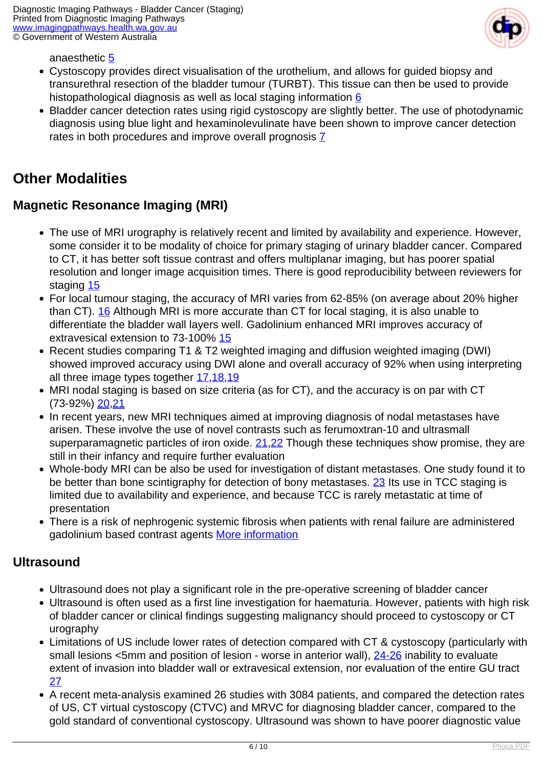

anaesthetic [5](index.php?option=com_content&view=article&id=155&tab=references#5)

- Cystoscopy provides direct visualisation of the urothelium, and allows for guided biopsy and transurethral resection of the bladder tumour (TURBT). This tissue can then be used to provide histopathological diagnosis as well as local staging information [6](index.php?option=com_content&view=article&id=155&tab=references#6)
- Bladder cancer detection rates using rigid cystoscopy are slightly better. The use of photodynamic diagnosis using blue light and hexaminolevulinate have been shown to improve cancer detection rates in both procedures and improve overall prognosis  $\overline{I}$

### **Other Modalities**

#### **Magnetic Resonance Imaging (MRI)**

- The use of MRI urography is relatively recent and limited by availability and experience. However, some consider it to be modality of choice for primary staging of urinary bladder cancer. Compared to CT, it has better soft tissue contrast and offers multiplanar imaging, but has poorer spatial resolution and longer image acquisition times. There is good reproducibility between reviewers for staging [15](index.php?option=com_content&view=article&id=155&tab=references#15)
- For local tumour staging, the accuracy of MRI varies from 62-85% (on average about 20% higher than CT). [16](index.php?option=com_content&view=article&id=155&tab=references#16) Although MRI is more accurate than CT for local staging, it is also unable to differentiate the bladder wall layers well. Gadolinium enhanced MRI improves accuracy of extravesical extension to 73-100% [15](index.php?option=com_content&view=article&id=155&tab=references#15)
- Recent studies comparing T1 & T2 weighted imaging and diffusion weighted imaging (DWI) showed improved accuracy using DWI alone and overall accuracy of 92% when using interpreting all three image types together [17](index.php?option=com_content&view=article&id=155&tab=references#17)[,18,](index.php?option=com_content&view=article&id=155&tab=references#18)[19](index.php?option=com_content&view=article&id=155&tab=references#19)
- MRI nodal staging is based on size criteria (as for CT), and the accuracy is on par with CT (73-92%) [20](index.php?option=com_content&view=article&id=155&tab=references#20),[21](index.php?option=com_content&view=article&id=155&tab=references#21)
- In recent years, new MRI techniques aimed at improving diagnosis of nodal metastases have arisen. These involve the use of novel contrasts such as ferumoxtran-10 and ultrasmall superparamagnetic particles of iron oxide. [21,](index.php?option=com_content&view=article&id=155&tab=references#21)[22](index.php?option=com_content&view=article&id=155&tab=references#22) Though these techniques show promise, they are still in their infancy and require further evaluation
- Whole-body MRI can be also be used for investigation of distant metastases. One study found it to be better than bone scintigraphy for detection of bony metastases. [23](index.php?option=com_content&view=article&id=155&tab=references#23) Its use in TCC staging is limited due to availability and experience, and because TCC is rarely metastatic at time of presentation
- There is a risk of nephrogenic systemic fibrosis when patients with renal failure are administered gadolinium based contrast agents [More information](index.php/about-imaging/contrast-agents/gadolinium-contrast-for-mri-scans#g1)

#### **Ultrasound**

- Ultrasound does not play a significant role in the pre-operative screening of bladder cancer
- Ultrasound is often used as a first line investigation for haematuria. However, patients with high risk of bladder cancer or clinical findings suggesting malignancy should proceed to cystoscopy or CT urography
- Limitations of US include lower rates of detection compared with CT & cystoscopy (particularly with small lesions <5mm and position of lesion - worse in anterior wall), [24-26](index.php?option=com_content&view=article&id=155&tab=references#24) inability to evaluate extent of invasion into bladder wall or extravesical extension, nor evaluation of the entire GU tract [27](index.php?option=com_content&view=article&id=155&tab=references#27)
- A recent meta-analysis examined 26 studies with 3084 patients, and compared the detection rates of US, CT virtual cystoscopy (CTVC) and MRVC for diagnosing bladder cancer, compared to the gold standard of conventional cystoscopy. Ultrasound was shown to have poorer diagnostic value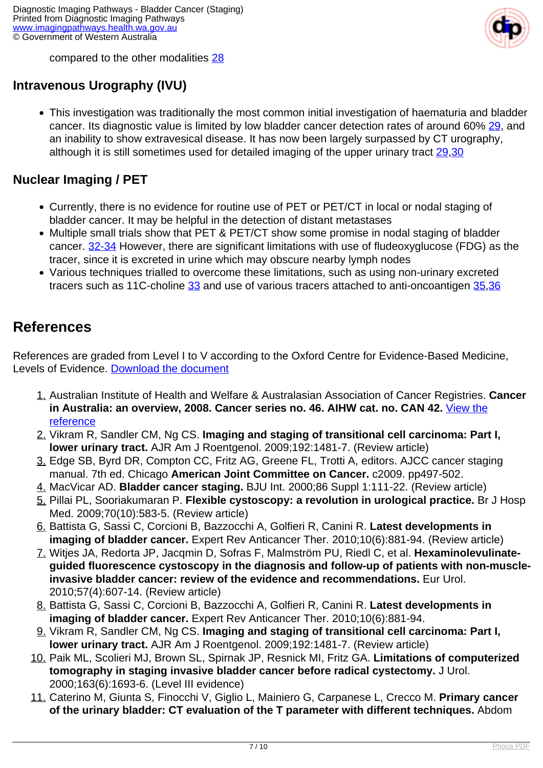

compared to the other modalities [28](index.php?option=com_content&view=article&id=155&tab=references#28)

#### **Intravenous Urography (IVU)**

This investigation was traditionally the most common initial investigation of haematuria and bladder cancer. Its diagnostic value is limited by low bladder cancer detection rates of around 60% [29](index.php?option=com_content&view=article&id=155&tab=references#29), and an inability to show extravesical disease. It has now been largely surpassed by CT urography, although it is still sometimes used for detailed imaging of the upper urinary tract [29,](index.php?option=com_content&view=article&id=155&tab=references#29)[30](index.php?option=com_content&view=article&id=155&tab=references#30)

#### **Nuclear Imaging / PET**

- Currently, there is no evidence for routine use of PET or PET/CT in local or nodal staging of bladder cancer. It may be helpful in the detection of distant metastases
- Multiple small trials show that PET & PET/CT show some promise in nodal staging of bladder cancer. [32-34](index.php?option=com_content&view=article&id=155&tab=references#32) However, there are significant limitations with use of fludeoxyglucose (FDG) as the tracer, since it is excreted in urine which may obscure nearby lymph nodes
- Various techniques trialled to overcome these limitations, such as using non-urinary excreted tracers such as 11C-choline [33](index.php?option=com_content&view=article&id=155&tab=references#33) and use of various tracers attached to anti-oncoantigen [35](index.php?option=com_content&view=article&id=155&tab=references#35),[36](index.php?option=com_content&view=article&id=155&tab=references#36)

### **References**

References are graded from Level I to V according to the Oxford Centre for Evidence-Based Medicine, Levels of Evidence. [Download the document](http://www.cebm.net/wp-content/uploads/2014/06/CEBM-Levels-of-Evidence-2.1.pdf)

- 1. Australian Institute of Health and Welfare & Australasian Association of Cancer Registries. **Cancer in Australia: an overview, 2008. Cancer series no. 46. AIHW cat. no. CAN 42.** [View the](http://www.aihw.gov.au/WorkArea/DownloadAsset.aspx?id=6442454588) [reference](http://www.aihw.gov.au/WorkArea/DownloadAsset.aspx?id=6442454588)
- 2. Vikram R, Sandler CM, Ng CS. **Imaging and staging of transitional cell carcinoma: Part I, lower urinary tract.** AJR Am J Roentgenol. 2009;192:1481-7. (Review article)
- 3. Edge SB, Byrd DR, Compton CC, Fritz AG, Greene FL, Trotti A, editors. AJCC cancer staging manual. 7th ed. Chicago **American Joint Committee on Cancer.** c2009. pp497-502.
- 4. MacVicar AD. **Bladder cancer staging.** BJU Int. 2000;86 Suppl 1:111-22. (Review article)
- 5. Pillai PL, Sooriakumaran P. **Flexible cystoscopy: a revolution in urological practice.** Br J Hosp Med. 2009;70(10):583-5. (Review article)
- 6. Battista G, Sassi C, Corcioni B, Bazzocchi A, Golfieri R, Canini R. **Latest developments in imaging of bladder cancer.** Expert Rev Anticancer Ther. 2010;10(6):881-94. (Review article)
- 7. Witjes JA, Redorta JP, Jacqmin D, Sofras F, Malmström PU, Riedl C, et al. **Hexaminolevulinateguided fluorescence cystoscopy in the diagnosis and follow-up of patients with non-muscleinvasive bladder cancer: review of the evidence and recommendations.** Eur Urol. 2010;57(4):607-14. (Review article)
- 8. Battista G, Sassi C, Corcioni B, Bazzocchi A, Golfieri R, Canini R. **Latest developments in imaging of bladder cancer.** Expert Rev Anticancer Ther. 2010;10(6):881-94.
- 9. Vikram R, Sandler CM, Ng CS. **Imaging and staging of transitional cell carcinoma: Part I, lower urinary tract.** AJR Am J Roentgenol. 2009;192:1481-7. (Review article)
- 10. Paik ML, Scolieri MJ, Brown SL, Spirnak JP, Resnick MI, Fritz GA. **Limitations of computerized tomography in staging invasive bladder cancer before radical cystectomy.** J Urol. 2000;163(6):1693-6. (Level III evidence)
- 11. Caterino M, Giunta S, Finocchi V, Giglio L, Mainiero G, Carpanese L, Crecco M. **Primary cancer of the urinary bladder: CT evaluation of the T parameter with different techniques.** Abdom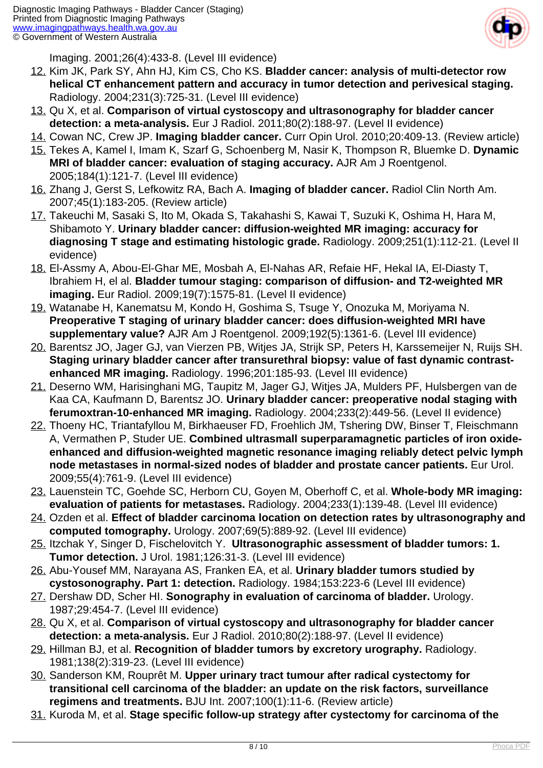

Imaging. 2001;26(4):433-8. (Level III evidence)

- 12. Kim JK, Park SY, Ahn HJ, Kim CS, Cho KS. **Bladder cancer: analysis of multi-detector row helical CT enhancement pattern and accuracy in tumor detection and perivesical staging.** Radiology. 2004;231(3):725-31. (Level III evidence)
- 13. Qu X, et al. **Comparison of virtual cystoscopy and ultrasonography for bladder cancer detection: a meta-analysis.** Eur J Radiol. 2011;80(2):188-97. (Level II evidence)
- 14. Cowan NC, Crew JP. **Imaging bladder cancer.** Curr Opin Urol. 2010;20:409-13. (Review article)
- 15. Tekes A, Kamel I, Imam K, Szarf G, Schoenberg M, Nasir K, Thompson R, Bluemke D. **Dynamic MRI of bladder cancer: evaluation of staging accuracy.** AJR Am J Roentgenol. 2005;184(1):121-7. (Level III evidence)
- 16. Zhang J, Gerst S, Lefkowitz RA, Bach A. **Imaging of bladder cancer.** Radiol Clin North Am. 2007;45(1):183-205. (Review article)
- 17. Takeuchi M, Sasaki S, Ito M, Okada S, Takahashi S, Kawai T, Suzuki K, Oshima H, Hara M, Shibamoto Y. **Urinary bladder cancer: diffusion-weighted MR imaging: accuracy for diagnosing T stage and estimating histologic grade.** Radiology. 2009;251(1):112-21. (Level II evidence)
- 18. El-Assmy A, Abou-El-Ghar ME, Mosbah A, El-Nahas AR, Refaie HF, Hekal IA, El-Diasty T, Ibrahiem H, el al. **Bladder tumour staging: comparison of diffusion- and T2-weighted MR imaging.** Eur Radiol. 2009;19(7):1575-81. (Level II evidence)
- 19. Watanabe H, Kanematsu M, Kondo H, Goshima S, Tsuge Y, Onozuka M, Moriyama N. **Preoperative T staging of urinary bladder cancer: does diffusion-weighted MRI have supplementary value?** AJR Am J Roentgenol. 2009;192(5):1361-6. (Level III evidence)
- 20. Barentsz JO, Jager GJ, van Vierzen PB, Witjes JA, Strijk SP, Peters H, Karssemeijer N, Ruijs SH. **Staging urinary bladder cancer after transurethral biopsy: value of fast dynamic contrastenhanced MR imaging.** Radiology. 1996;201:185-93. (Level III evidence)
- 21. Deserno WM, Harisinghani MG, Taupitz M, Jager GJ, Witjes JA, Mulders PF, Hulsbergen van de Kaa CA, Kaufmann D, Barentsz JO. **Urinary bladder cancer: preoperative nodal staging with ferumoxtran-10-enhanced MR imaging.** Radiology. 2004;233(2):449-56. (Level II evidence)
- 22. Thoeny HC, Triantafyllou M, Birkhaeuser FD, Froehlich JM, Tshering DW, Binser T, Fleischmann A, Vermathen P, Studer UE. **Combined ultrasmall superparamagnetic particles of iron oxideenhanced and diffusion-weighted magnetic resonance imaging reliably detect pelvic lymph node metastases in normal-sized nodes of bladder and prostate cancer patients.** Eur Urol. 2009;55(4):761-9. (Level III evidence)
- 23. Lauenstein TC, Goehde SC, Herborn CU, Goyen M, Oberhoff C, et al. **Whole-body MR imaging: evaluation of patients for metastases.** Radiology. 2004;233(1):139-48. (Level III evidence)
- 24. Ozden et al. **Effect of bladder carcinoma location on detection rates by ultrasonography and computed tomography.** Urology. 2007;69(5):889-92. (Level III evidence)
- 25. Itzchak Y, Singer D, Fischelovitch Y. **Ultrasonographic assessment of bladder tumors: 1. Tumor detection.** J Urol. 1981;126:31-3. (Level III evidence)
- 26. Abu-Yousef MM, Narayana AS, Franken EA, et al. **Urinary bladder tumors studied by cystosonography. Part 1: detection.** Radiology. 1984;153:223-6 (Level III evidence)
- 27. Dershaw DD, Scher HI. **Sonography in evaluation of carcinoma of bladder.** Urology. 1987;29:454-7. (Level III evidence)
- 28. Qu X, et al. **Comparison of virtual cystoscopy and ultrasonography for bladder cancer detection: a meta-analysis.** Eur J Radiol. 2010;80(2):188-97. (Level II evidence)
- 29. Hillman BJ, et al. **Recognition of bladder tumors by excretory urography.** Radiology. 1981;138(2):319-23. (Level III evidence)
- 30. Sanderson KM, Rouprêt M. **Upper urinary tract tumour after radical cystectomy for transitional cell carcinoma of the bladder: an update on the risk factors, surveillance regimens and treatments.** BJU Int. 2007;100(1):11-6. (Review article)
- 31. Kuroda M, et al. **Stage specific follow-up strategy after cystectomy for carcinoma of the**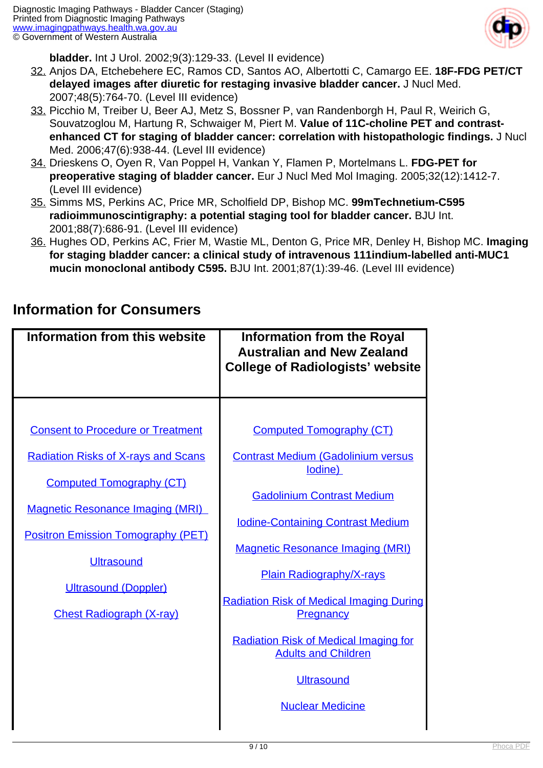

**bladder.** Int J Urol. 2002;9(3):129-33. (Level II evidence)

- 32. Anjos DA, Etchebehere EC, Ramos CD, Santos AO, Albertotti C, Camargo EE. **18F-FDG PET/CT delayed images after diuretic for restaging invasive bladder cancer.** J Nucl Med. 2007;48(5):764-70. (Level III evidence)
- 33. Picchio M, Treiber U, Beer AJ, Metz S, Bossner P, van Randenborgh H, Paul R, Weirich G, Souvatzoglou M, Hartung R, Schwaiger M, Piert M. **Value of 11C-choline PET and contrastenhanced CT for staging of bladder cancer: correlation with histopathologic findings.** J Nucl Med. 2006;47(6):938-44. (Level III evidence)
- 34. Drieskens O, Oyen R, Van Poppel H, Vankan Y, Flamen P, Mortelmans L. **FDG-PET for preoperative staging of bladder cancer.** Eur J Nucl Med Mol Imaging. 2005;32(12):1412-7. (Level III evidence)
- 35. Simms MS, Perkins AC, Price MR, Scholfield DP, Bishop MC. **99mTechnetium-C595 radioimmunoscintigraphy: a potential staging tool for bladder cancer.** BJU Int. 2001;88(7):686-91. (Level III evidence)
- 36. Hughes OD, Perkins AC, Frier M, Wastie ML, Denton G, Price MR, Denley H, Bishop MC. **Imaging for staging bladder cancer: a clinical study of intravenous 111indium-labelled anti-MUC1 mucin monoclonal antibody C595.** BJU Int. 2001;87(1):39-46. (Level III evidence)

| Information from this website                                              | <b>Information from the Royal</b><br><b>Australian and New Zealand</b><br><b>College of Radiologists' website</b> |  |
|----------------------------------------------------------------------------|-------------------------------------------------------------------------------------------------------------------|--|
| <b>Consent to Procedure or Treatment</b>                                   | <b>Computed Tomography (CT)</b>                                                                                   |  |
| <b>Radiation Risks of X-rays and Scans</b>                                 | <b>Contrast Medium (Gadolinium versus</b><br>lodine)                                                              |  |
| <b>Computed Tomography (CT)</b><br><b>Magnetic Resonance Imaging (MRI)</b> | <b>Gadolinium Contrast Medium</b>                                                                                 |  |
| <b>Positron Emission Tomography (PET)</b>                                  | <b>Iodine-Containing Contrast Medium</b>                                                                          |  |
| <b>Ultrasound</b>                                                          | <b>Magnetic Resonance Imaging (MRI)</b><br><b>Plain Radiography/X-rays</b>                                        |  |
| <b>Ultrasound (Doppler)</b><br><b>Chest Radiograph (X-ray)</b>             | <b>Radiation Risk of Medical Imaging During</b><br><b>Pregnancy</b>                                               |  |
|                                                                            | <b>Radiation Risk of Medical Imaging for</b><br><b>Adults and Children</b>                                        |  |
|                                                                            | <b>Ultrasound</b>                                                                                                 |  |
|                                                                            | <b>Nuclear Medicine</b>                                                                                           |  |

### **Information for Consumers**